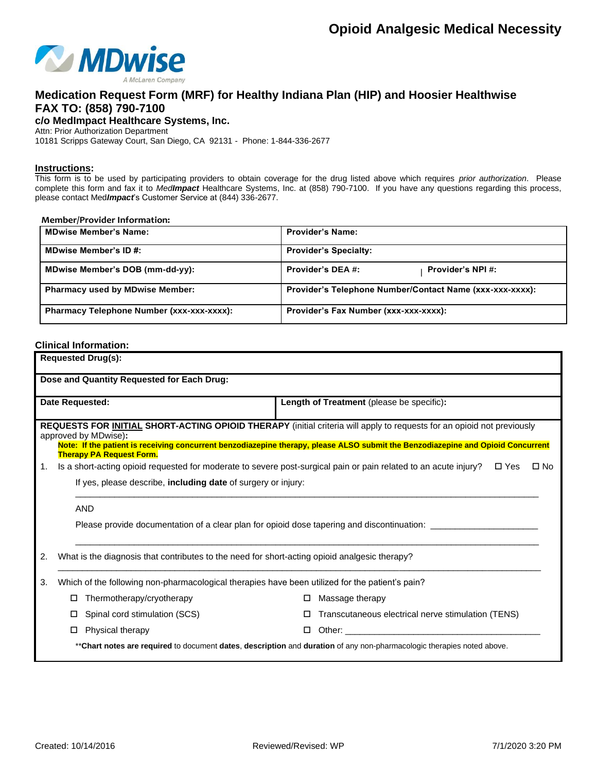

### **Medication Request Form (MRF) for Healthy Indiana Plan (HIP) and Hoosier Healthwise FAX TO: (858) 790-7100**

**c/o MedImpact Healthcare Systems, Inc.**

Attn: Prior Authorization Department

10181 Scripps Gateway Court, San Diego, CA 92131 - Phone: 1-844-336-2677

#### **Instructions:**

This form is to be used by participating providers to obtain coverage for the drug listed above which requires *prior authorization*. Please complete this form and fax it to *MedImpact* Healthcare Systems, Inc. at (858) 790-7100. If you have any questions regarding this process, please contact Med*Impact*'s Customer Service at (844) 336-2677.

#### **Member/Provider Information:**

| <b>MDwise Member's Name:</b>              | <b>Provider's Name:</b>                                  |
|-------------------------------------------|----------------------------------------------------------|
| <b>MDwise Member's ID #:</b>              | <b>Provider's Specialty:</b>                             |
| MDwise Member's DOB (mm-dd-yy):           | Provider's DEA #:<br><b>Provider's NPI#:</b>             |
| <b>Pharmacy used by MDwise Member:</b>    | Provider's Telephone Number/Contact Name (xxx-xxx-xxxx): |
| Pharmacy Telephone Number (xxx-xxx-xxxx): | Provider's Fax Number (xxx-xxx-xxxx):                    |

### **Clinical Information:**

| <b>Requested Drug(s):</b>                                                                                                                                                                                                                                                                                                    |                                                                                                                        |  |  |  |
|------------------------------------------------------------------------------------------------------------------------------------------------------------------------------------------------------------------------------------------------------------------------------------------------------------------------------|------------------------------------------------------------------------------------------------------------------------|--|--|--|
| Dose and Quantity Requested for Each Drug:                                                                                                                                                                                                                                                                                   |                                                                                                                        |  |  |  |
| Date Requested:                                                                                                                                                                                                                                                                                                              | Length of Treatment (please be specific):                                                                              |  |  |  |
| REQUESTS FOR <b>INITIAL</b> SHORT-ACTING OPIOID THERAPY (initial criteria will apply to requests for an opioid not previously<br>approved by MDwise):<br>Note: If the patient is receiving concurrent benzodiazepine therapy, please ALSO submit the Benzodiazepine and Opioid Concurrent<br><b>Therapy PA Request Form.</b> |                                                                                                                        |  |  |  |
| Is a short-acting opioid requested for moderate to severe post-surgical pain or pain related to an acute injury? □ Yes<br>$\square$ No<br>1.<br>If yes, please describe, including date of surgery or injury:                                                                                                                |                                                                                                                        |  |  |  |
| AND                                                                                                                                                                                                                                                                                                                          | Please provide documentation of a clear plan for opioid dose tapering and discontinuation: __________________          |  |  |  |
| What is the diagnosis that contributes to the need for short-acting opioid analgesic therapy?<br>2.                                                                                                                                                                                                                          |                                                                                                                        |  |  |  |
| Which of the following non-pharmacological therapies have been utilized for the patient's pain?<br>3.                                                                                                                                                                                                                        |                                                                                                                        |  |  |  |
| Thermotherapy/cryotherapy<br>□                                                                                                                                                                                                                                                                                               | Massage therapy<br>□                                                                                                   |  |  |  |
| Spinal cord stimulation (SCS)<br>П.                                                                                                                                                                                                                                                                                          | Transcutaneous electrical nerve stimulation (TENS)<br>П                                                                |  |  |  |
| Physical therapy<br>□                                                                                                                                                                                                                                                                                                        |                                                                                                                        |  |  |  |
|                                                                                                                                                                                                                                                                                                                              | **Chart notes are required to document dates, description and duration of any non-pharmacologic therapies noted above. |  |  |  |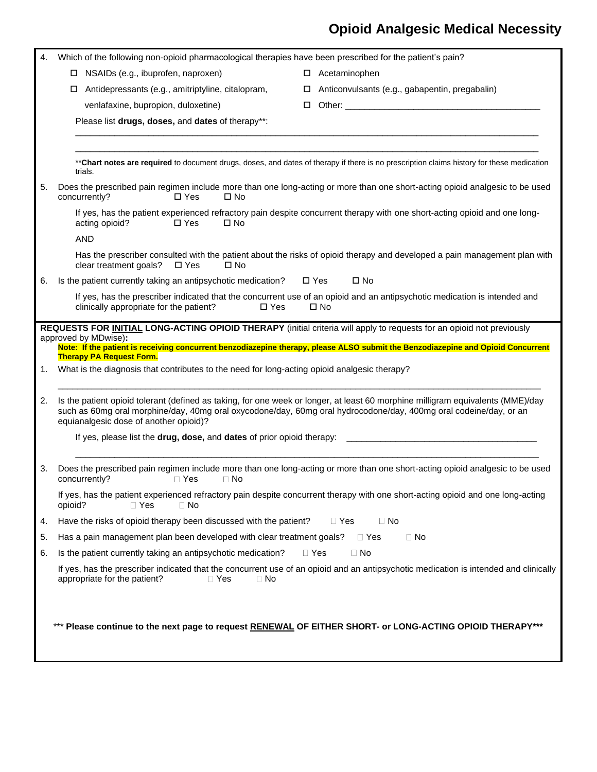# **Opioid Analgesic Medical Necessity**

| 4. | Which of the following non-opioid pharmacological therapies have been prescribed for the patient's pain? |                                                                                                                                                                                                                                                      |
|----|----------------------------------------------------------------------------------------------------------|------------------------------------------------------------------------------------------------------------------------------------------------------------------------------------------------------------------------------------------------------|
|    | $\Box$ NSAIDs (e.g., ibuprofen, naproxen)                                                                | Acetaminophen<br>□                                                                                                                                                                                                                                   |
|    | Antidepressants (e.g., amitriptyline, citalopram,<br>□                                                   | Anticonvulsants (e.g., gabapentin, pregabalin)<br>$\Box$                                                                                                                                                                                             |
|    | venlafaxine, bupropion, duloxetine)                                                                      | Other: experience of the state of the state of the state of the state of the state of the state of the state of the state of the state of the state of the state of the state of the state of the state of the state of the st<br>0                  |
|    | Please list drugs, doses, and dates of therapy**:                                                        |                                                                                                                                                                                                                                                      |
|    |                                                                                                          |                                                                                                                                                                                                                                                      |
|    | trials.                                                                                                  | **Chart notes are required to document drugs, doses, and dates of therapy if there is no prescription claims history for these medication                                                                                                            |
| 5. | concurrently?<br>$\square$ Yes<br>$\square$ No                                                           | Does the prescribed pain regimen include more than one long-acting or more than one short-acting opioid analgesic to be used                                                                                                                         |
|    | acting opioid?<br>$\Box$ Yes<br>$\square$ No                                                             | If yes, has the patient experienced refractory pain despite concurrent therapy with one short-acting opioid and one long-                                                                                                                            |
|    | <b>AND</b><br>clear treatment goals?<br>$\square$ Yes<br>$\square$ No                                    | Has the prescriber consulted with the patient about the risks of opioid therapy and developed a pain management plan with                                                                                                                            |
| 6. | Is the patient currently taking an antipsychotic medication?                                             | $\square$ No<br>$\square$ Yes                                                                                                                                                                                                                        |
|    | clinically appropriate for the patient?<br>$\Box$ Yes                                                    | If yes, has the prescriber indicated that the concurrent use of an opioid and an antipsychotic medication is intended and<br>$\square$ No                                                                                                            |
|    |                                                                                                          | REQUESTS FOR <b>INITIAL LONG-ACTING OPIOID THERAPY</b> (initial criteria will apply to requests for an opioid not previously                                                                                                                         |
|    | approved by MDwise):                                                                                     | Note: If the patient is receiving concurrent benzodiazepine therapy, please ALSO submit the Benzodiazepine and Opioid Concurrent                                                                                                                     |
|    | <b>Therapy PA Request Form.</b>                                                                          |                                                                                                                                                                                                                                                      |
| 1. | What is the diagnosis that contributes to the need for long-acting opioid analgesic therapy?             |                                                                                                                                                                                                                                                      |
| 2. | equianalgesic dose of another opioid)?                                                                   | Is the patient opioid tolerant (defined as taking, for one week or longer, at least 60 morphine milligram equivalents (MME)/day<br>such as 60mg oral morphine/day, 40mg oral oxycodone/day, 60mg oral hydrocodone/day, 400mg oral codeine/day, or an |
|    | If yes, please list the drug, dose, and dates of prior opioid therapy:                                   |                                                                                                                                                                                                                                                      |
|    |                                                                                                          |                                                                                                                                                                                                                                                      |
| 3. | concurrently?<br>$\Box$ Yes<br>$\Box$ No                                                                 | Does the prescribed pain regimen include more than one long-acting or more than one short-acting opioid analgesic to be used                                                                                                                         |
|    | opioid?<br>$\Box$ Yes<br>⊟ No                                                                            | If yes, has the patient experienced refractory pain despite concurrent therapy with one short-acting opioid and one long-acting                                                                                                                      |
| 4. | Have the risks of opioid therapy been discussed with the patient?                                        | $\Box$ Yes<br>$\Box$ No                                                                                                                                                                                                                              |
| 5. | Has a pain management plan been developed with clear treatment goals?                                    | $\Box$ Yes<br>$\Box$ No                                                                                                                                                                                                                              |
| 6. | Is the patient currently taking an antipsychotic medication?                                             | $\Box$ Yes<br>$\Box$ No                                                                                                                                                                                                                              |
|    | appropriate for the patient?<br>$\Box$ Yes<br>$\Box$ No                                                  | If yes, has the prescriber indicated that the concurrent use of an opioid and an antipsychotic medication is intended and clinically                                                                                                                 |
|    |                                                                                                          | Please continue to the next page to request RENEWAL OF EITHER SHORT- or LONG-ACTING OPIOID THERAPY***                                                                                                                                                |